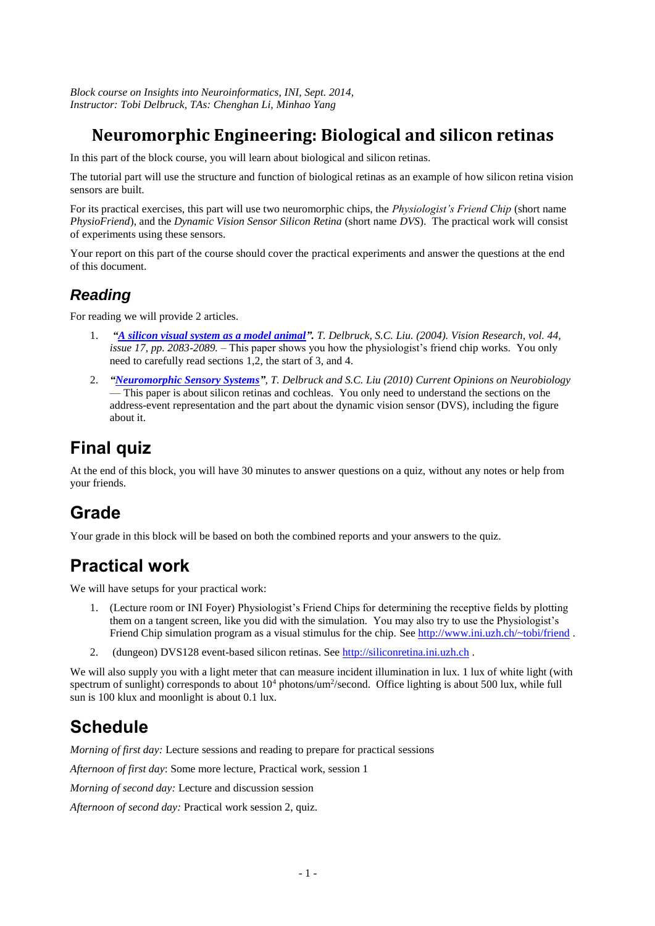*Block course on Insights into Neuroinformatics, INI, Sept. 2014, Instructor: Tobi Delbruck, TAs: Chenghan Li, Minhao Yang*

# **Neuromorphic Engineering: Biological and silicon retinas**

In this part of the block course, you will learn about biological and silicon retinas.

The tutorial part will use the structure and function of biological retinas as an example of how silicon retina vision sensors are built.

For its practical exercises, this part will use two neuromorphic chips, the *Physiologist's Friend Chip* (short name *PhysioFriend*), and the *Dynamic Vision Sensor Silicon Retina* (short name *DVS*). The practical work will consist of experiments using these sensors.

Your report on this part of the course should cover the practical experiments and answer the questions at the end of this document.

### *Reading*

For reading we will provide 2 articles.

- 1. *["A silicon visual system as a model animal"](http://www.ini.uzh.ch/~tobi/wiki/lib/exe/fetch.php?media=delbruckphysiofriendvisionresearchv44i17.pdf). T. Delbruck, S.C. Liu. (2004). Vision Research, vol. 44, issue 17, pp. 2083-2089. –* This paper shows you how the physiologist's friend chip works. You only need to carefully read sections 1,2, the start of 3, and 4.
- 2. *["Neuromorphic Sensory Systems"](http://www.ini.uzh.ch/~tobi/wiki/lib/exe/fetch.php?media=liudelbruckcurropin10finalprintversion.pdf), T. Delbruck and S.C. Liu (2010) Current Opinions on Neurobiology*  — This paper is about silicon retinas and cochleas. You only need to understand the sections on the address-event representation and the part about the dynamic vision sensor (DVS), including the figure about it.

# **Final quiz**

At the end of this block, you will have 30 minutes to answer questions on a quiz, without any notes or help from your friends.

# **Grade**

Your grade in this block will be based on both the combined reports and your answers to the quiz.

# **Practical work**

We will have setups for your practical work:

- 1. (Lecture room or INI Foyer) Physiologist's Friend Chips for determining the receptive fields by plotting them on a tangent screen, like you did with the simulation. You may also try to use the Physiologist's Friend Chip simulation program as a visual stimulus for the chip. See<http://www.ini.uzh.ch/~tobi/friend>.
- 2. (dungeon) DVS128 event-based silicon retinas. See [http://siliconretina.ini.uzh.ch](http://siliconretina.ini.uzh.ch/) .

We will also supply you with a light meter that can measure incident illumination in lux. 1 lux of white light (with spectrum of sunlight) corresponds to about  $10^4$  photons/um<sup>2</sup>/second. Office lighting is about 500 lux, while full sun is 100 klux and moonlight is about 0.1 lux.

# **Schedule**

*Morning of first day:* Lecture sessions and reading to prepare for practical sessions

*Afternoon of first day*: Some more lecture, Practical work, session 1

*Morning of second day:* Lecture and discussion session

*Afternoon of second day:* Practical work session 2, quiz.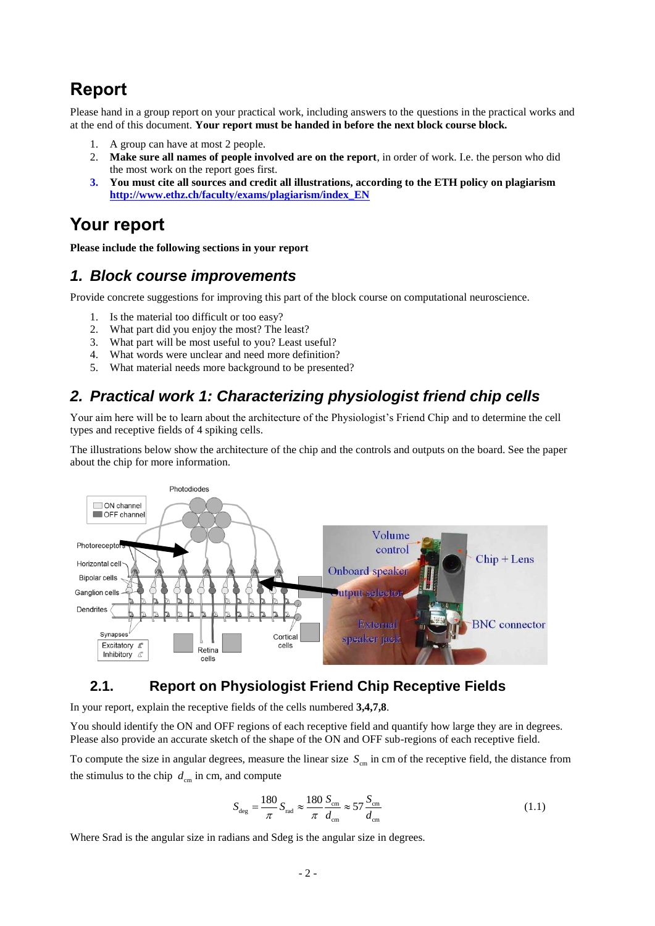# **Report**

Please hand in a group report on your practical work, including answers to the questions in the practical works and at the end of this document. **Your report must be handed in before the next block course block.** 

- 1. A group can have at most 2 people.
- 2. **Make sure all names of people involved are on the report**, in order of work. I.e. the person who did the most work on the report goes first.
- **3. You must cite all sources and credit all illustrations, according to the ETH policy on plagiarism [http://www.ethz.ch/faculty/exams/plagiarism/index\\_EN](http://www.ethz.ch/faculty/exams/plagiarism/index_EN)**

## **Your report**

**Please include the following sections in your report**

#### *1. Block course improvements*

Provide concrete suggestions for improving this part of the block course on computational neuroscience.

- 1. Is the material too difficult or too easy?
- 2. What part did you enjoy the most? The least?
- 3. What part will be most useful to you? Least useful?
- 4. What words were unclear and need more definition?
- What material needs more background to be presented?

## *2. Practical work 1: Characterizing physiologist friend chip cells*

Your aim here will be to learn about the architecture of the Physiologist's Friend Chip and to determine the cell types and receptive fields of 4 spiking cells.

The illustrations below show the architecture of the chip and the controls and outputs on the board. See the paper about the chip for more information.



#### **2.1. Report on Physiologist Friend Chip Receptive Fields**

In your report, explain the receptive fields of the cells numbered **3,4,7,8**.

You should identify the ON and OFF regions of each receptive field and quantify how large they are in degrees. Please also provide an accurate sketch of the shape of the ON and OFF sub-regions of each receptive field.

To compute the size in angular degrees, measure the linear size  $S_{cm}$  in cm of the receptive field, the distance from the stimulus to the chip  $d_{cm}$  in cm, and compute

$$
S_{\text{deg}} = \frac{180}{\pi} S_{\text{rad}} \approx \frac{180}{\pi} \frac{S_{\text{cm}}}{d_{\text{cm}}} \approx 57 \frac{S_{\text{cm}}}{d_{\text{cm}}} \tag{1.1}
$$

Where Srad is the angular size in radians and Sdeg is the angular size in degrees.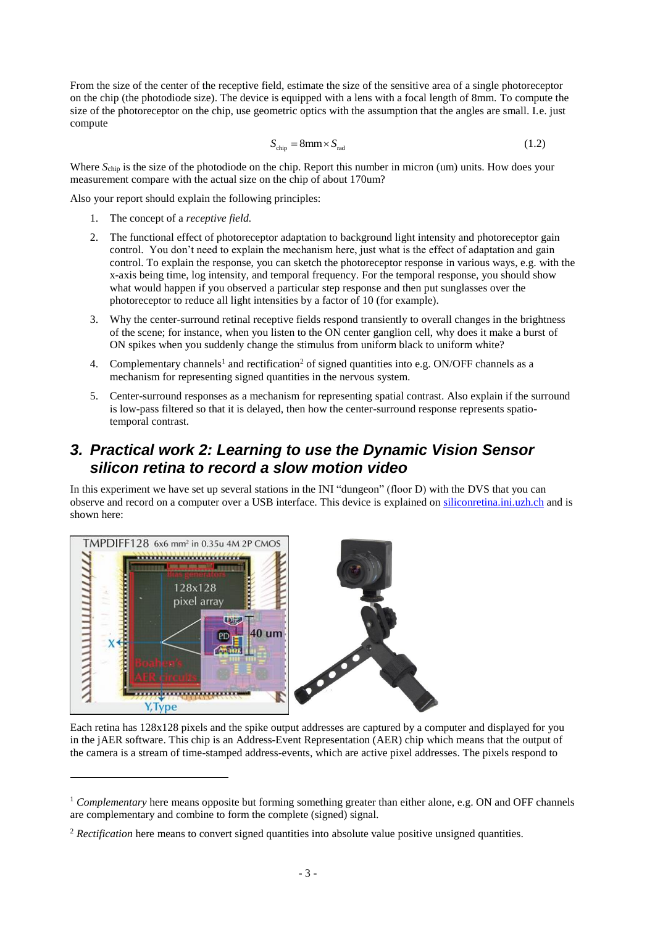From the size of the center of the receptive field, estimate the size of the sensitive area of a single photoreceptor on the chip (the photodiode size). The device is equipped with a lens with a focal length of 8mm. To compute the size of the photoreceptor on the chip, use geometric optics with the assumption that the angles are small. I.e. just compute

$$
S_{\text{chip}} = 8 \text{mm} \times S_{\text{rad}} \tag{1.2}
$$

Where  $S_{\text{chip}}$  is the size of the photodiode on the chip. Report this number in micron (um) units. How does your measurement compare with the actual size on the chip of about 170um?

Also your report should explain the following principles:

1. The concept of a *receptive field.*

 $\overline{a}$ 

- 2. The functional effect of photoreceptor adaptation to background light intensity and photoreceptor gain control. You don't need to explain the mechanism here, just what is the effect of adaptation and gain control. To explain the response, you can sketch the photoreceptor response in various ways, e.g. with the x-axis being time, log intensity, and temporal frequency. For the temporal response, you should show what would happen if you observed a particular step response and then put sunglasses over the photoreceptor to reduce all light intensities by a factor of 10 (for example).
- 3. Why the center-surround retinal receptive fields respond transiently to overall changes in the brightness of the scene; for instance, when you listen to the ON center ganglion cell, why does it make a burst of ON spikes when you suddenly change the stimulus from uniform black to uniform white?
- 4. Complementary channels<sup>1</sup> and rectification<sup>2</sup> of signed quantities into e.g. ON/OFF channels as a mechanism for representing signed quantities in the nervous system.
- 5. Center-surround responses as a mechanism for representing spatial contrast. Also explain if the surround is low-pass filtered so that it is delayed, then how the center-surround response represents spatiotemporal contrast.

#### *3. Practical work 2: Learning to use the Dynamic Vision Sensor silicon retina to record a slow motion video*

In this experiment we have set up several stations in the INI "dungeon" (floor D) with the DVS that you can observe and record on a computer over a USB interface. This device is explained on [siliconretina.ini.uzh.ch](http://siliconretina.ini.uzh.ch/) and is shown here:



Each retina has 128x128 pixels and the spike output addresses are captured by a computer and displayed for you in the jAER software. This chip is an Address-Event Representation (AER) chip which means that the output of the camera is a stream of time-stamped address-events, which are active pixel addresses. The pixels respond to

<sup>1</sup> *Complementary* here means opposite but forming something greater than either alone, e.g. ON and OFF channels are complementary and combine to form the complete (signed) signal.

<sup>&</sup>lt;sup>2</sup> *Rectification* here means to convert signed quantities into absolute value positive unsigned quantities.